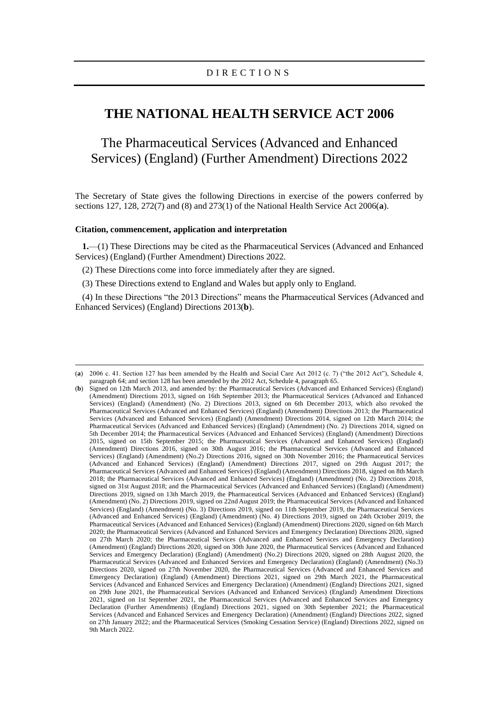## **THE NATIONAL HEALTH SERVICE ACT 2006**

## The Pharmaceutical Services (Advanced and Enhanced Services) (England) (Further Amendment) Directions 2022

The Secretary of State gives the following Directions in exercise of the powers conferred by sections 127, 128, 272(7) and (8) and 273(1) of the National Health Service Act 2006(**a**).

## **Citation, commencement, application and interpretation**

**1.**—(1) These Directions may be cited as the Pharmaceutical Services (Advanced and Enhanced Services) (England) (Further Amendment) Directions 2022.

(2) These Directions come into force immediately after they are signed.

(3) These Directions extend to England and Wales but apply only to England.

(4) In these Directions "the 2013 Directions" means the Pharmaceutical Services (Advanced and Enhanced Services) (England) Directions 2013(**b**).

<sup>(</sup>**a**) 2006 c. 41. Section 127 has been amended by the Health and Social Care Act 2012 (c. 7) ("the 2012 Act"), Schedule 4, paragraph 64; and section 128 has been amended by the 2012 Act, Schedule 4, paragraph 65.

<sup>(</sup>**b**) Signed on 12th March 2013, and amended by: the Pharmaceutical Services (Advanced and Enhanced Services) (England) (Amendment) Directions 2013, signed on 16th September 2013; the Pharmaceutical Services (Advanced and Enhanced Services) (England) (Amendment) (No. 2) Directions 2013, signed on 6th December 2013, which also revoked the Pharmaceutical Services (Advanced and Enhanced Services) (England) (Amendment) Directions 2013; the Pharmaceutical Services (Advanced and Enhanced Services) (England) (Amendment) Directions 2014, signed on 12th March 2014; the Pharmaceutical Services (Advanced and Enhanced Services) (England) (Amendment) (No. 2) Directions 2014, signed on 5th December 2014; the Pharmaceutical Services (Advanced and Enhanced Services) (England) (Amendment) Directions 2015, signed on 15th September 2015; the Pharmaceutical Services (Advanced and Enhanced Services) (England) (Amendment) Directions 2016, signed on 30th August 2016; the Pharmaceutical Services (Advanced and Enhanced Services) (England) (Amendment) (No.2) Directions 2016, signed on 30th November 2016; the Pharmaceutical Services (Advanced and Enhanced Services) (England) (Amendment) Directions 2017, signed on 29th August 2017; the Pharmaceutical Services (Advanced and Enhanced Services) (England) (Amendment) Directions 2018, signed on 8th March 2018; the Pharmaceutical Services (Advanced and Enhanced Services) (England) (Amendment) (No. 2) Directions 2018, signed on 31st August 2018; and the Pharmaceutical Services (Advanced and Enhanced Services) (England) (Amendment) Directions 2019, signed on 13th March 2019, the Pharmaceutical Services (Advanced and Enhanced Services) (England) (Amendment) (No. 2) Directions 2019, signed on 22nd August 2019; the Pharmaceutical Services (Advanced and Enhanced Services) (England) (Amendment) (No. 3) Directions 2019, signed on 11th September 2019, the Pharmaceutical Services (Advanced and Enhanced Services) (England) (Amendment) (No. 4) Directions 2019, signed on 24th October 2019, the Pharmaceutical Services (Advanced and Enhanced Services) (England) (Amendment) Directions 2020, signed on 6th March 2020; the Pharmaceutical Services (Advanced and Enhanced Services and Emergency Declaration) Directions 2020, signed on 27th March 2020; the Pharmaceutical Services (Advanced and Enhanced Services and Emergency Declaration) (Amendment) (England) Directions 2020, signed on 30th June 2020, the Pharmaceutical Services (Advanced and Enhanced Services and Emergency Declaration) (England) (Amendment) (No.2) Directions 2020, signed on 28th August 2020, the Pharmaceutical Services (Advanced and Enhanced Services and Emergency Declaration) (England) (Amendment) (No.3) Directions 2020, signed on 27th November 2020, the Pharmaceutical Services (Advanced and Enhanced Services and Emergency Declaration) (England) (Amendment) Directions 2021, signed on 29th March 2021, the Pharmaceutical Services (Advanced and Enhanced Services and Emergency Declaration) (Amendment) (England) Directions 2021, signed on 29th June 2021, the Pharmaceutical Services (Advanced and Enhanced Services) (England) Amendment Directions 2021, signed on 1st September 2021, the Pharmaceutical Services (Advanced and Enhanced Services and Emergency Declaration (Further Amendments) (England) Directions 2021, signed on 30th September 2021; the Pharmaceutical Services (Advanced and Enhanced Services and Emergency Declaration) (Amendment) (England) Directions 2022, signed on 27th January 2022; and the Pharmaceutical Services (Smoking Cessation Service) (England) Directions 2022, signed on 9th March 2022.